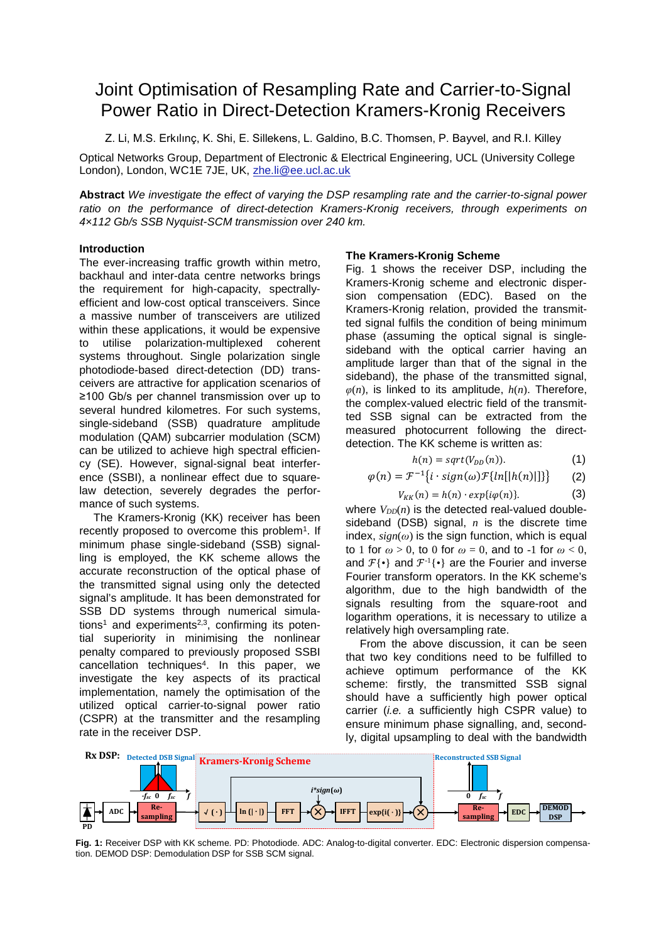# Joint Optimisation of Resampling Rate and Carrier-to-Signal Power Ratio in Direct-Detection Kramers-Kronig Receivers

Z. Li, M.S. Erkılınç, K. Shi, E. Sillekens, L. Galdino, B.C. Thomsen, P. Bayvel, and R.I. Killey

Optical Networks Group, Department of Electronic & Electrical Engineering, UCL (University College London), London, WC1E 7JE, UK, zhe.li@ee.ucl.ac.uk

**Abstract** *We investigate the effect of varying the DSP resampling rate and the carrier-to-signal power ratio on the performance of direct-detection Kramers-Kronig receivers, through experiments on 4×112 Gb/s SSB Nyquist-SCM transmission over 240 km.*

## **Introduction**

The ever-increasing traffic growth within metro, backhaul and inter-data centre networks brings the requirement for high-capacity, spectrallyefficient and low-cost optical transceivers. Since a massive number of transceivers are utilized within these applications, it would be expensive to utilise polarization-multiplexed coherent systems throughout. Single polarization single photodiode-based direct-detection (DD) transceivers are attractive for application scenarios of ≥100 Gb/s per channel transmission over up to several hundred kilometres. For such systems, single-sideband (SSB) quadrature amplitude modulation (QAM) subcarrier modulation (SCM) can be utilized to achieve high spectral efficiency (SE). However, signal-signal beat interference (SSBI), a nonlinear effect due to squarelaw detection, severely degrades the performance of such systems.

The Kramers-Kronig (KK) receiver has been recently proposed to overcome this problem<sup>1</sup>. If minimum phase single-sideband (SSB) signalling is employed, the KK scheme allows the accurate reconstruction of the optical phase of the transmitted signal using only the detected signal's amplitude. It has been demonstrated for SSB DD systems through numerical simulations<sup>1</sup> and experiments<sup>2,3</sup>, confirming its potential superiority in minimising the nonlinear penalty compared to previously proposed SSBI cancellation techniques<sup>4</sup> . In this paper, we investigate the key aspects of its practical implementation, namely the optimisation of the utilized optical carrier-to-signal power ratio (CSPR) at the transmitter and the resampling rate in the receiver DSP.

## **The Kramers-Kronig Scheme**

Fig. 1 shows the receiver DSP, including the Kramers-Kronig scheme and electronic dispersion compensation (EDC). Based on the Kramers-Kronig relation, provided the transmitted signal fulfils the condition of being minimum phase (assuming the optical signal is singlesideband with the optical carrier having an amplitude larger than that of the signal in the sideband), the phase of the transmitted signal,  $\varphi(n)$ , is linked to its amplitude,  $h(n)$ . Therefore, the complex-valued electric field of the transmitted SSB signal can be extracted from the measured photocurrent following the directdetection. The KK scheme is written as:

$$
h(n) = sqrt(V_{DD}(n)).
$$
 (1)

$$
\varphi(n) = \mathcal{F}^{-1}\{i \cdot sign(\omega)\mathcal{F}\{ln[|h(n)|]\}\}\tag{2}
$$

$$
V_{KK}(n) = h(n) \cdot exp\{i\varphi(n)\}.
$$
 (3)

where  $V_{DD}(n)$  is the detected real-valued doublesideband (DSB) signal, *n* is the discrete time index, *sign*(*ω*) is the sign function, which is equal to 1 for  $\omega > 0$ , to 0 for  $\omega = 0$ , and to -1 for  $\omega < 0$ , and  $\mathcal{F}\{\bullet\}$  and  $\mathcal{F}^{\text{-}1}\{\bullet\}$  are the Fourier and inverse Fourier transform operators. In the KK scheme's algorithm, due to the high bandwidth of the signals resulting from the square-root and logarithm operations, it is necessary to utilize a relatively high oversampling rate.

From the above discussion, it can be seen that two key conditions need to be fulfilled to achieve optimum performance of the KK scheme: firstly, the transmitted SSB signal should have a sufficiently high power optical carrier (*i.e.* a sufficiently high CSPR value) to ensure minimum phase signalling, and, secondly, digital upsampling to deal with the bandwidth



**Fig. 1:** Receiver DSP with KK scheme. PD: Photodiode. ADC: Analog-to-digital converter. EDC: Electronic dispersion compensation. DEMOD DSP: Demodulation DSP for SSB SCM signal.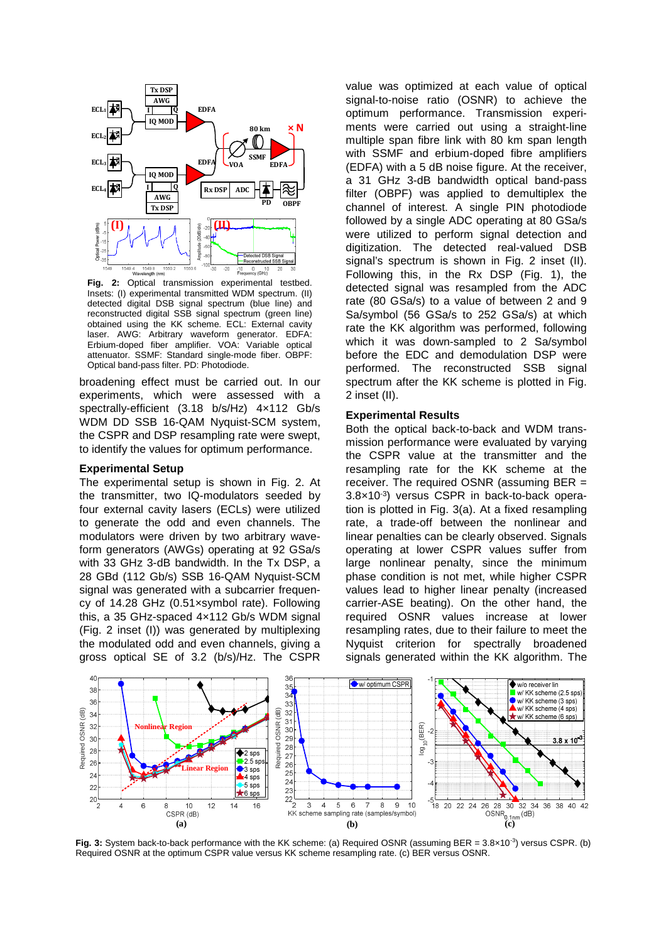

**Fig. 2:** Optical transmission experimental testbed. Insets: (I) experimental transmitted WDM spectrum. (II) detected digital DSB signal spectrum (blue line) and reconstructed digital SSB signal spectrum (green line) obtained using the KK scheme. ECL: External cavity laser. AWG: Arbitrary waveform generator. EDFA: Erbium-doped fiber amplifier. VOA: Variable optical attenuator. SSMF: Standard single-mode fiber. OBPF: Optical band-pass filter. PD: Photodiode.

broadening effect must be carried out. In our experiments, which were assessed with a spectrally-efficient (3.18 b/s/Hz) 4×112 Gb/s WDM DD SSB 16-QAM Nyquist-SCM system, the CSPR and DSP resampling rate were swept, to identify the values for optimum performance.

#### **Experimental Setup**

The experimental setup is shown in Fig. 2. At the transmitter, two IQ-modulators seeded by four external cavity lasers (ECLs) were utilized to generate the odd and even channels. The modulators were driven by two arbitrary waveform generators (AWGs) operating at 92 GSa/s with 33 GHz 3-dB bandwidth. In the Tx DSP, a 28 GBd (112 Gb/s) SSB 16-QAM Nyquist-SCM signal was generated with a subcarrier frequency of 14.28 GHz (0.51×symbol rate). Following this, a 35 GHz-spaced 4×112 Gb/s WDM signal (Fig. 2 inset (I)) was generated by multiplexing the modulated odd and even channels, giving a gross optical SE of 3.2 (b/s)/Hz. The CSPR

value was optimized at each value of optical signal-to-noise ratio (OSNR) to achieve the optimum performance. Transmission experiments were carried out using a straight-line multiple span fibre link with 80 km span length with SSMF and erbium-doped fibre amplifiers (EDFA) with a 5 dB noise figure. At the receiver, a 31 GHz 3-dB bandwidth optical band-pass filter (OBPF) was applied to demultiplex the channel of interest. A single PIN photodiode followed by a single ADC operating at 80 GSa/s were utilized to perform signal detection and digitization. The detected real-valued DSB signal's spectrum is shown in Fig. 2 inset (II). Following this, in the Rx DSP (Fig. 1), the detected signal was resampled from the ADC rate (80 GSa/s) to a value of between 2 and 9 Sa/symbol (56 GSa/s to 252 GSa/s) at which rate the KK algorithm was performed, following which it was down-sampled to 2 Sa/symbol before the EDC and demodulation DSP were performed. The reconstructed SSB signal spectrum after the KK scheme is plotted in Fig. 2 inset (II).

#### **Experimental Results**

Both the optical back-to-back and WDM transmission performance were evaluated by varying the CSPR value at the transmitter and the resampling rate for the KK scheme at the receiver. The required OSNR (assuming BER = 3.8×10-3) versus CSPR in back-to-back operation is plotted in Fig. 3(a). At a fixed resampling rate, a trade-off between the nonlinear and linear penalties can be clearly observed. Signals operating at lower CSPR values suffer from large nonlinear penalty, since the minimum phase condition is not met, while higher CSPR values lead to higher linear penalty (increased carrier-ASE beating). On the other hand, the required OSNR values increase at lower resampling rates, due to their failure to meet the Nyquist criterion for spectrally broadened signals generated within the KK algorithm. The



**Fig. 3:** System back-to-back performance with the KK scheme: (a) Required OSNR (assuming BER = 3.8×10<sup>-3</sup>) versus CSPR. (b) Required OSNR at the optimum CSPR value versus KK scheme resampling rate. (c) BER versus OSNR.